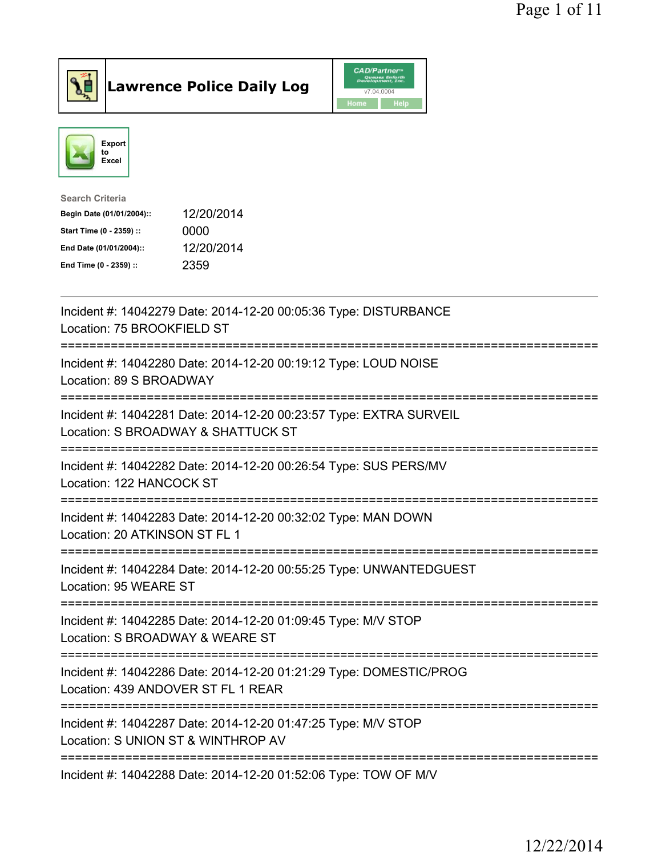



| Search Criteria           |            |
|---------------------------|------------|
| Begin Date (01/01/2004):: | 12/20/2014 |
| Start Time (0 - 2359) ::  | 0000       |
| End Date (01/01/2004)::   | 12/20/2014 |
| End Time (0 - 2359) ::    | 2359       |
|                           |            |

| Incident #: 14042279 Date: 2014-12-20 00:05:36 Type: DISTURBANCE<br>Location: 75 BROOKFIELD ST                                                          |
|---------------------------------------------------------------------------------------------------------------------------------------------------------|
| Incident #: 14042280 Date: 2014-12-20 00:19:12 Type: LOUD NOISE<br>Location: 89 S BROADWAY                                                              |
| Incident #: 14042281 Date: 2014-12-20 00:23:57 Type: EXTRA SURVEIL<br>Location: S BROADWAY & SHATTUCK ST<br>==========================                  |
| Incident #: 14042282 Date: 2014-12-20 00:26:54 Type: SUS PERS/MV<br>Location: 122 HANCOCK ST<br>_____________________________<br>;===================== |
| Incident #: 14042283 Date: 2014-12-20 00:32:02 Type: MAN DOWN<br>Location: 20 ATKINSON ST FL 1                                                          |
| Incident #: 14042284 Date: 2014-12-20 00:55:25 Type: UNWANTEDGUEST<br>Location: 95 WEARE ST                                                             |
| Incident #: 14042285 Date: 2014-12-20 01:09:45 Type: M/V STOP<br>Location: S BROADWAY & WEARE ST                                                        |
| Incident #: 14042286 Date: 2014-12-20 01:21:29 Type: DOMESTIC/PROG<br>Location: 439 ANDOVER ST FL 1 REAR                                                |
| Incident #: 14042287 Date: 2014-12-20 01:47:25 Type: M/V STOP<br>Location: S UNION ST & WINTHROP AV                                                     |
| Incident #: 14042288 Date: 2014-12-20 01:52:06 Type: TOW OF M/V                                                                                         |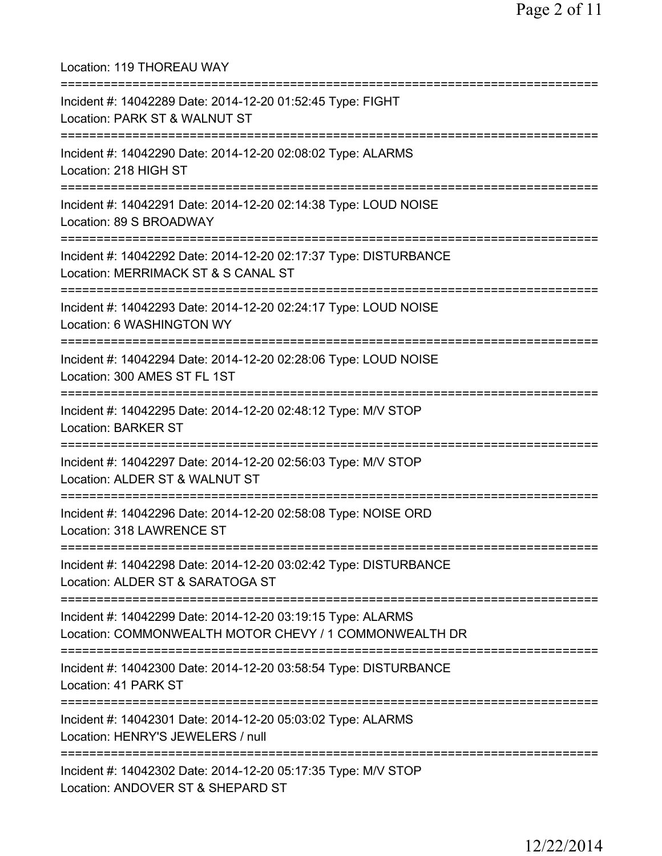Location: 119 THOREAU WAY =========================================================================== Incident #: 14042289 Date: 2014-12-20 01:52:45 Type: FIGHT Location: PARK ST & WALNUT ST =========================================================================== Incident #: 14042290 Date: 2014-12-20 02:08:02 Type: ALARMS Location: 218 HIGH ST =========================================================================== Incident #: 14042291 Date: 2014-12-20 02:14:38 Type: LOUD NOISE Location: 89 S BROADWAY =========================================================================== Incident #: 14042292 Date: 2014-12-20 02:17:37 Type: DISTURBANCE Location: MERRIMACK ST & S CANAL ST =========================================================================== Incident #: 14042293 Date: 2014-12-20 02:24:17 Type: LOUD NOISE Location: 6 WASHINGTON WY =========================================================================== Incident #: 14042294 Date: 2014-12-20 02:28:06 Type: LOUD NOISE Location: 300 AMES ST FL 1ST =========================================================================== Incident #: 14042295 Date: 2014-12-20 02:48:12 Type: M/V STOP Location: BARKER ST =========================================================================== Incident #: 14042297 Date: 2014-12-20 02:56:03 Type: M/V STOP Location: ALDER ST & WALNUT ST =========================================================================== Incident #: 14042296 Date: 2014-12-20 02:58:08 Type: NOISE ORD Location: 318 LAWRENCE ST =========================================================================== Incident #: 14042298 Date: 2014-12-20 03:02:42 Type: DISTURBANCE Location: ALDER ST & SARATOGA ST =========================================================================== Incident #: 14042299 Date: 2014-12-20 03:19:15 Type: ALARMS Location: COMMONWEALTH MOTOR CHEVY / 1 COMMONWEALTH DR =========================================================================== Incident #: 14042300 Date: 2014-12-20 03:58:54 Type: DISTURBANCE Location: 41 PARK ST =========================================================================== Incident #: 14042301 Date: 2014-12-20 05:03:02 Type: ALARMS Location: HENRY'S JEWELERS / null =========================================================================== Incident #: 14042302 Date: 2014-12-20 05:17:35 Type: M/V STOP Location: ANDOVER ST & SHEPARD ST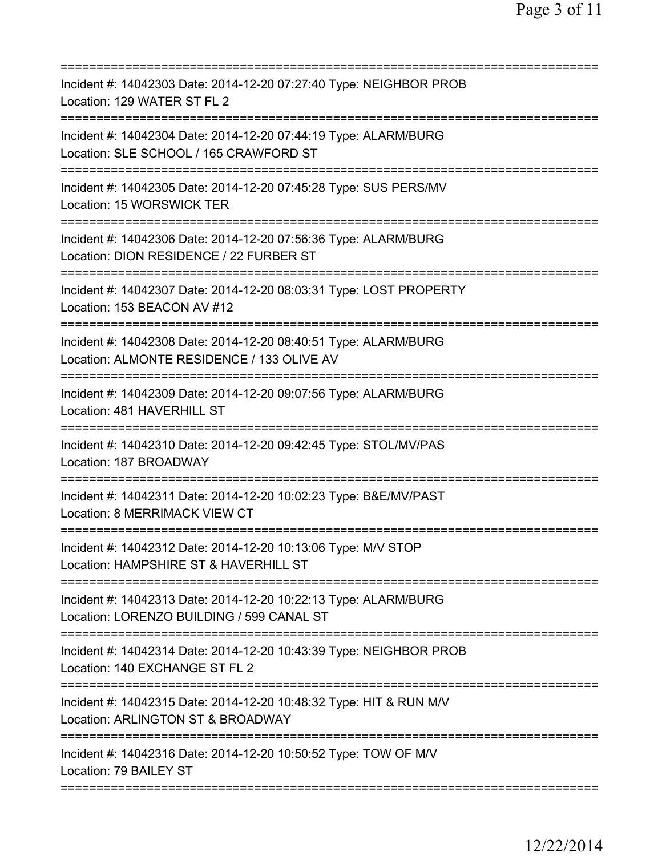| Incident #: 14042303 Date: 2014-12-20 07:27:40 Type: NEIGHBOR PROB<br>Location: 129 WATER ST FL 2                                          |
|--------------------------------------------------------------------------------------------------------------------------------------------|
| Incident #: 14042304 Date: 2014-12-20 07:44:19 Type: ALARM/BURG<br>Location: SLE SCHOOL / 165 CRAWFORD ST                                  |
| Incident #: 14042305 Date: 2014-12-20 07:45:28 Type: SUS PERS/MV<br>Location: 15 WORSWICK TER                                              |
| Incident #: 14042306 Date: 2014-12-20 07:56:36 Type: ALARM/BURG<br>Location: DION RESIDENCE / 22 FURBER ST<br>============================ |
| Incident #: 14042307 Date: 2014-12-20 08:03:31 Type: LOST PROPERTY<br>Location: 153 BEACON AV #12                                          |
| Incident #: 14042308 Date: 2014-12-20 08:40:51 Type: ALARM/BURG<br>Location: ALMONTE RESIDENCE / 133 OLIVE AV                              |
| Incident #: 14042309 Date: 2014-12-20 09:07:56 Type: ALARM/BURG<br>Location: 481 HAVERHILL ST                                              |
| Incident #: 14042310 Date: 2014-12-20 09:42:45 Type: STOL/MV/PAS<br>Location: 187 BROADWAY                                                 |
| Incident #: 14042311 Date: 2014-12-20 10:02:23 Type: B&E/MV/PAST<br>Location: 8 MERRIMACK VIEW CT                                          |
| Incident #: 14042312 Date: 2014-12-20 10:13:06 Type: M/V STOP<br>Location: HAMPSHIRE ST & HAVERHILL ST                                     |
| Incident #: 14042313 Date: 2014-12-20 10:22:13 Type: ALARM/BURG<br>Location: LORENZO BUILDING / 599 CANAL ST                               |
| Incident #: 14042314 Date: 2014-12-20 10:43:39 Type: NEIGHBOR PROB<br>Location: 140 EXCHANGE ST FL 2                                       |
| Incident #: 14042315 Date: 2014-12-20 10:48:32 Type: HIT & RUN M/V<br>Location: ARLINGTON ST & BROADWAY<br>=============================== |
| Incident #: 14042316 Date: 2014-12-20 10:50:52 Type: TOW OF M/V<br>Location: 79 BAILEY ST                                                  |
|                                                                                                                                            |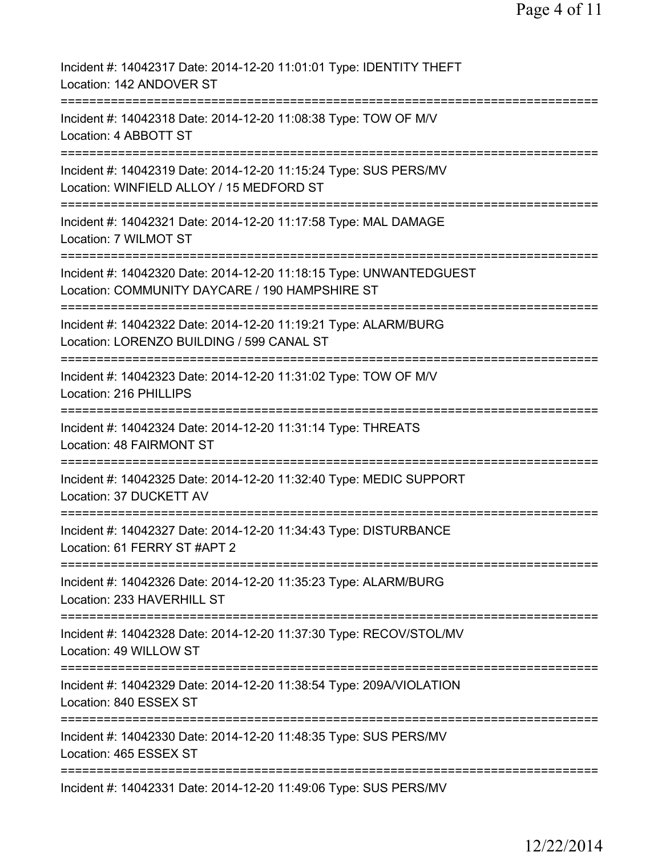Page 4 of 11

| Incident #: 14042317 Date: 2014-12-20 11:01:01 Type: IDENTITY THEFT<br>Location: 142 ANDOVER ST                                                      |
|------------------------------------------------------------------------------------------------------------------------------------------------------|
| Incident #: 14042318 Date: 2014-12-20 11:08:38 Type: TOW OF M/V<br>Location: 4 ABBOTT ST                                                             |
| Incident #: 14042319 Date: 2014-12-20 11:15:24 Type: SUS PERS/MV<br>Location: WINFIELD ALLOY / 15 MEDFORD ST                                         |
| Incident #: 14042321 Date: 2014-12-20 11:17:58 Type: MAL DAMAGE<br>Location: 7 WILMOT ST                                                             |
| Incident #: 14042320 Date: 2014-12-20 11:18:15 Type: UNWANTEDGUEST<br>Location: COMMUNITY DAYCARE / 190 HAMPSHIRE ST                                 |
| Incident #: 14042322 Date: 2014-12-20 11:19:21 Type: ALARM/BURG<br>Location: LORENZO BUILDING / 599 CANAL ST                                         |
| Incident #: 14042323 Date: 2014-12-20 11:31:02 Type: TOW OF M/V<br>Location: 216 PHILLIPS<br>===============                                         |
| Incident #: 14042324 Date: 2014-12-20 11:31:14 Type: THREATS<br>Location: 48 FAIRMONT ST                                                             |
| Incident #: 14042325 Date: 2014-12-20 11:32:40 Type: MEDIC SUPPORT<br>Location: 37 DUCKETT AV                                                        |
| Incident #: 14042327 Date: 2014-12-20 11:34:43 Type: DISTURBANCE<br>Location: 61 FERRY ST #APT 2                                                     |
| =======================<br>========================<br>Incident #: 14042326 Date: 2014-12-20 11:35:23 Type: ALARM/BURG<br>Location: 233 HAVERHILL ST |
| Incident #: 14042328 Date: 2014-12-20 11:37:30 Type: RECOV/STOL/MV<br>Location: 49 WILLOW ST                                                         |
| Incident #: 14042329 Date: 2014-12-20 11:38:54 Type: 209A/VIOLATION<br>Location: 840 ESSEX ST                                                        |
| Incident #: 14042330 Date: 2014-12-20 11:48:35 Type: SUS PERS/MV<br>Location: 465 ESSEX ST                                                           |
| Incident #: 14042331 Date: 2014-12-20 11:49:06 Type: SUS PERS/MV                                                                                     |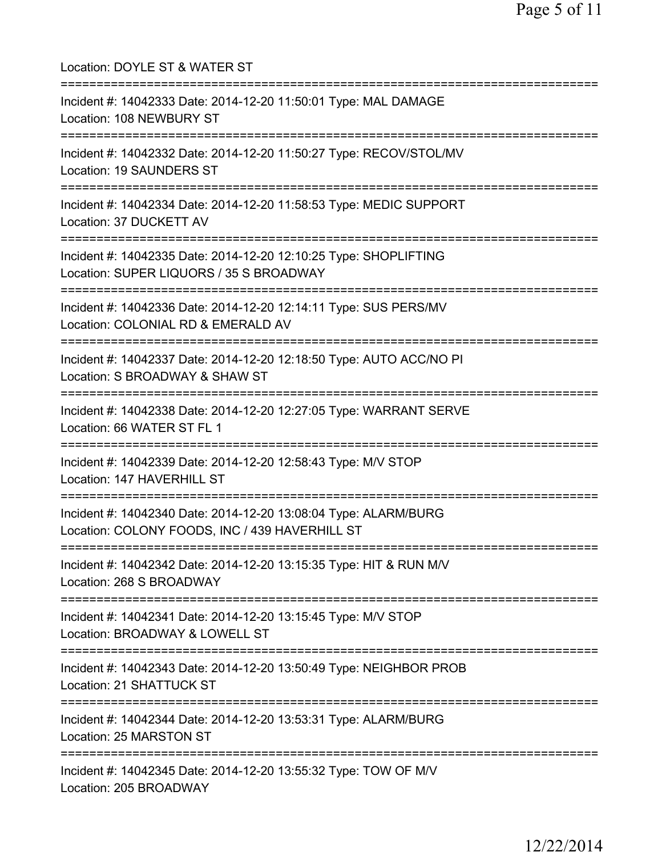Location: DOYLE ST & WATER ST =========================================================================== Incident #: 14042333 Date: 2014-12-20 11:50:01 Type: MAL DAMAGE Location: 108 NEWBURY ST =========================================================================== Incident #: 14042332 Date: 2014-12-20 11:50:27 Type: RECOV/STOL/MV Location: 19 SAUNDERS ST =========================================================================== Incident #: 14042334 Date: 2014-12-20 11:58:53 Type: MEDIC SUPPORT Location: 37 DUCKETT AV =========================================================================== Incident #: 14042335 Date: 2014-12-20 12:10:25 Type: SHOPLIFTING Location: SUPER LIQUORS / 35 S BROADWAY =========================================================================== Incident #: 14042336 Date: 2014-12-20 12:14:11 Type: SUS PERS/MV Location: COLONIAL RD & EMERALD AV =========================================================================== Incident #: 14042337 Date: 2014-12-20 12:18:50 Type: AUTO ACC/NO PI Location: S BROADWAY & SHAW ST =========================================================================== Incident #: 14042338 Date: 2014-12-20 12:27:05 Type: WARRANT SERVE Location: 66 WATER ST FL 1 =========================================================================== Incident #: 14042339 Date: 2014-12-20 12:58:43 Type: M/V STOP Location: 147 HAVERHILL ST =========================================================================== Incident #: 14042340 Date: 2014-12-20 13:08:04 Type: ALARM/BURG Location: COLONY FOODS, INC / 439 HAVERHILL ST =========================================================================== Incident #: 14042342 Date: 2014-12-20 13:15:35 Type: HIT & RUN M/V Location: 268 S BROADWAY =========================================================================== Incident #: 14042341 Date: 2014-12-20 13:15:45 Type: M/V STOP Location: BROADWAY & LOWELL ST =========================================================================== Incident #: 14042343 Date: 2014-12-20 13:50:49 Type: NEIGHBOR PROB Location: 21 SHATTUCK ST =========================================================================== Incident #: 14042344 Date: 2014-12-20 13:53:31 Type: ALARM/BURG Location: 25 MARSTON ST =========================================================================== Incident #: 14042345 Date: 2014-12-20 13:55:32 Type: TOW OF M/V Location: 205 BROADWAY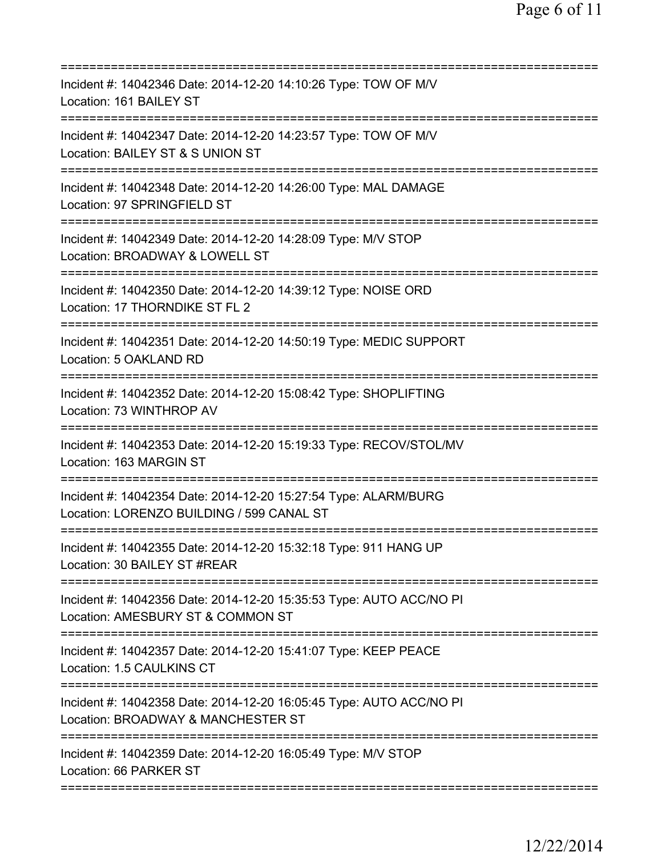| Incident #: 14042346 Date: 2014-12-20 14:10:26 Type: TOW OF M/V<br>Location: 161 BAILEY ST<br>===================================== |
|-------------------------------------------------------------------------------------------------------------------------------------|
| Incident #: 14042347 Date: 2014-12-20 14:23:57 Type: TOW OF M/V<br>Location: BAILEY ST & S UNION ST                                 |
| Incident #: 14042348 Date: 2014-12-20 14:26:00 Type: MAL DAMAGE<br>Location: 97 SPRINGFIELD ST                                      |
| Incident #: 14042349 Date: 2014-12-20 14:28:09 Type: M/V STOP<br>Location: BROADWAY & LOWELL ST                                     |
| Incident #: 14042350 Date: 2014-12-20 14:39:12 Type: NOISE ORD<br>Location: 17 THORNDIKE ST FL 2                                    |
| Incident #: 14042351 Date: 2014-12-20 14:50:19 Type: MEDIC SUPPORT<br>Location: 5 OAKLAND RD                                        |
| Incident #: 14042352 Date: 2014-12-20 15:08:42 Type: SHOPLIFTING<br>Location: 73 WINTHROP AV                                        |
| Incident #: 14042353 Date: 2014-12-20 15:19:33 Type: RECOV/STOL/MV<br>Location: 163 MARGIN ST                                       |
| Incident #: 14042354 Date: 2014-12-20 15:27:54 Type: ALARM/BURG<br>Location: LORENZO BUILDING / 599 CANAL ST                        |
| Incident #: 14042355 Date: 2014-12-20 15:32:18 Type: 911 HANG UP<br>Location: 30 BAILEY ST #REAR                                    |
| Incident #: 14042356 Date: 2014-12-20 15:35:53 Type: AUTO ACC/NO PI<br>Location: AMESBURY ST & COMMON ST                            |
| Incident #: 14042357 Date: 2014-12-20 15:41:07 Type: KEEP PEACE<br>Location: 1.5 CAULKINS CT                                        |
| Incident #: 14042358 Date: 2014-12-20 16:05:45 Type: AUTO ACC/NO PI<br>Location: BROADWAY & MANCHESTER ST                           |
| ====================================<br>Incident #: 14042359 Date: 2014-12-20 16:05:49 Type: M/V STOP<br>Location: 66 PARKER ST     |
|                                                                                                                                     |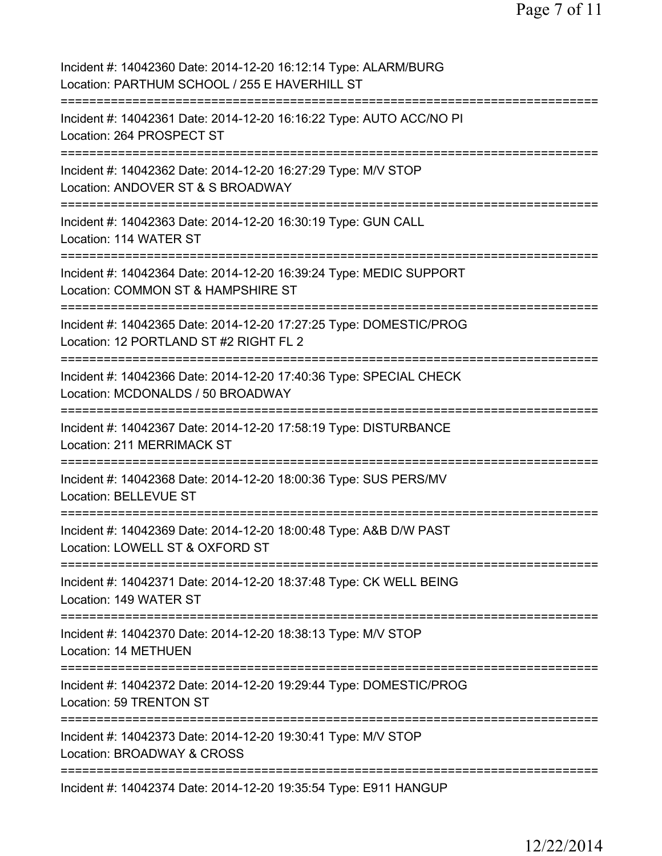| Incident #: 14042360 Date: 2014-12-20 16:12:14 Type: ALARM/BURG<br>Location: PARTHUM SCHOOL / 255 E HAVERHILL ST    |
|---------------------------------------------------------------------------------------------------------------------|
| Incident #: 14042361 Date: 2014-12-20 16:16:22 Type: AUTO ACC/NO PI<br>Location: 264 PROSPECT ST                    |
| Incident #: 14042362 Date: 2014-12-20 16:27:29 Type: M/V STOP<br>Location: ANDOVER ST & S BROADWAY                  |
| Incident #: 14042363 Date: 2014-12-20 16:30:19 Type: GUN CALL<br>Location: 114 WATER ST                             |
| Incident #: 14042364 Date: 2014-12-20 16:39:24 Type: MEDIC SUPPORT<br>Location: COMMON ST & HAMPSHIRE ST            |
| Incident #: 14042365 Date: 2014-12-20 17:27:25 Type: DOMESTIC/PROG<br>Location: 12 PORTLAND ST #2 RIGHT FL 2        |
| Incident #: 14042366 Date: 2014-12-20 17:40:36 Type: SPECIAL CHECK<br>Location: MCDONALDS / 50 BROADWAY             |
| :==============<br>Incident #: 14042367 Date: 2014-12-20 17:58:19 Type: DISTURBANCE<br>Location: 211 MERRIMACK ST   |
| ===============<br>Incident #: 14042368 Date: 2014-12-20 18:00:36 Type: SUS PERS/MV<br><b>Location: BELLEVUE ST</b> |
| Incident #: 14042369 Date: 2014-12-20 18:00:48 Type: A&B D/W PAST<br>Location: LOWELL ST & OXFORD ST                |
| Incident #: 14042371 Date: 2014-12-20 18:37:48 Type: CK WELL BEING<br>Location: 149 WATER ST                        |
| Incident #: 14042370 Date: 2014-12-20 18:38:13 Type: M/V STOP<br><b>Location: 14 METHUEN</b>                        |
| Incident #: 14042372 Date: 2014-12-20 19:29:44 Type: DOMESTIC/PROG<br>Location: 59 TRENTON ST                       |
| Incident #: 14042373 Date: 2014-12-20 19:30:41 Type: M/V STOP<br>Location: BROADWAY & CROSS                         |
| Incident #: 14042374 Date: 2014-12-20 19:35:54 Type: E911 HANGUP                                                    |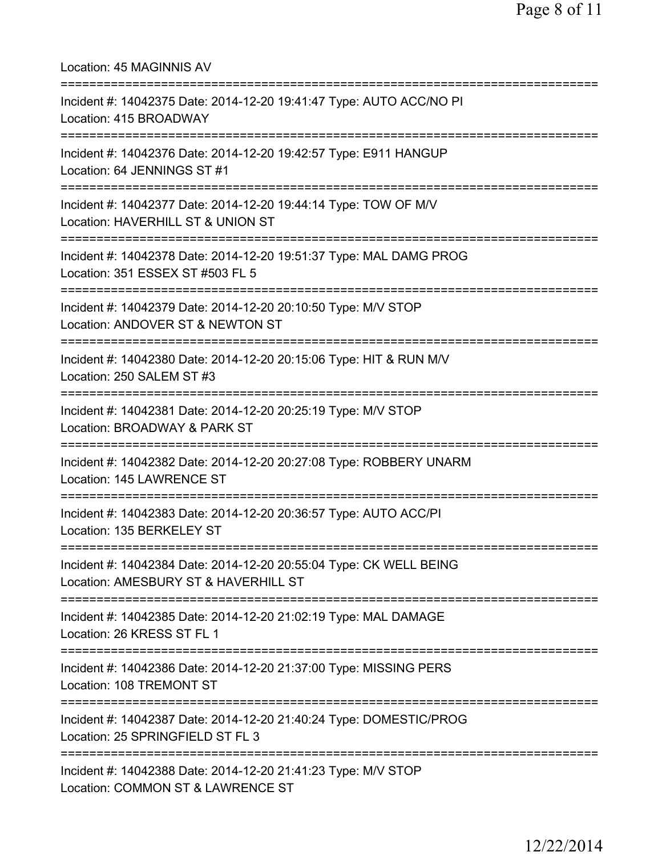| Location: 45 MAGINNIS AV                                                                                                                           |
|----------------------------------------------------------------------------------------------------------------------------------------------------|
| Incident #: 14042375 Date: 2014-12-20 19:41:47 Type: AUTO ACC/NO PI<br>Location: 415 BROADWAY                                                      |
| Incident #: 14042376 Date: 2014-12-20 19:42:57 Type: E911 HANGUP<br>Location: 64 JENNINGS ST #1                                                    |
| Incident #: 14042377 Date: 2014-12-20 19:44:14 Type: TOW OF M/V<br>Location: HAVERHILL ST & UNION ST                                               |
| ===========================<br>Incident #: 14042378 Date: 2014-12-20 19:51:37 Type: MAL DAMG PROG<br>Location: 351 ESSEX ST #503 FL 5              |
| ==========================<br>Incident #: 14042379 Date: 2014-12-20 20:10:50 Type: M/V STOP<br>Location: ANDOVER ST & NEWTON ST                    |
| Incident #: 14042380 Date: 2014-12-20 20:15:06 Type: HIT & RUN M/V<br>Location: 250 SALEM ST #3                                                    |
| Incident #: 14042381 Date: 2014-12-20 20:25:19 Type: M/V STOP<br>Location: BROADWAY & PARK ST                                                      |
| Incident #: 14042382 Date: 2014-12-20 20:27:08 Type: ROBBERY UNARM<br>Location: 145 LAWRENCE ST                                                    |
| Incident #: 14042383 Date: 2014-12-20 20:36:57 Type: AUTO ACC/PI<br>Location: 135 BERKELEY ST                                                      |
| ====================================<br>Incident #: 14042384 Date: 2014-12-20 20:55:04 Type: CK WELL BEING<br>Location: AMESBURY ST & HAVERHILL ST |
| Incident #: 14042385 Date: 2014-12-20 21:02:19 Type: MAL DAMAGE<br>Location: 26 KRESS ST FL 1                                                      |
| Incident #: 14042386 Date: 2014-12-20 21:37:00 Type: MISSING PERS<br>Location: 108 TREMONT ST                                                      |
| Incident #: 14042387 Date: 2014-12-20 21:40:24 Type: DOMESTIC/PROG<br>Location: 25 SPRINGFIELD ST FL 3                                             |
| Incident #: 14042388 Date: 2014-12-20 21:41:23 Type: M/V STOP<br>Location: COMMON ST & LAWRENCE ST                                                 |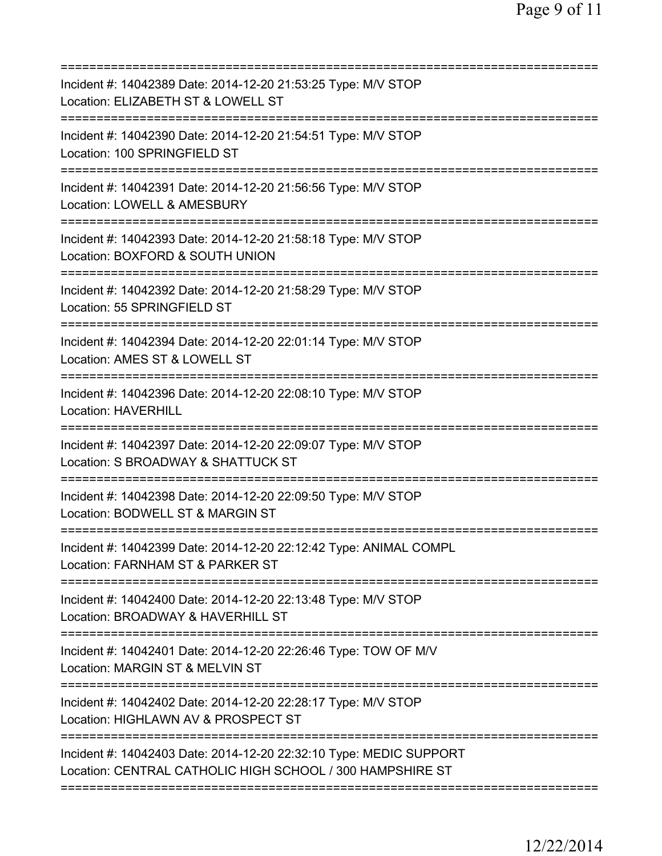| Incident #: 14042389 Date: 2014-12-20 21:53:25 Type: M/V STOP<br>Location: ELIZABETH ST & LOWELL ST                                                      |
|----------------------------------------------------------------------------------------------------------------------------------------------------------|
| Incident #: 14042390 Date: 2014-12-20 21:54:51 Type: M/V STOP<br>Location: 100 SPRINGFIELD ST                                                            |
| Incident #: 14042391 Date: 2014-12-20 21:56:56 Type: M/V STOP<br>Location: LOWELL & AMESBURY                                                             |
| Incident #: 14042393 Date: 2014-12-20 21:58:18 Type: M/V STOP<br>Location: BOXFORD & SOUTH UNION                                                         |
| Incident #: 14042392 Date: 2014-12-20 21:58:29 Type: M/V STOP<br>Location: 55 SPRINGFIELD ST                                                             |
| Incident #: 14042394 Date: 2014-12-20 22:01:14 Type: M/V STOP<br>Location: AMES ST & LOWELL ST<br>=========================<br>-------------             |
| Incident #: 14042396 Date: 2014-12-20 22:08:10 Type: M/V STOP<br><b>Location: HAVERHILL</b><br>-------------------                                       |
| Incident #: 14042397 Date: 2014-12-20 22:09:07 Type: M/V STOP<br>Location: S BROADWAY & SHATTUCK ST                                                      |
| Incident #: 14042398 Date: 2014-12-20 22:09:50 Type: M/V STOP<br>Location: BODWELL ST & MARGIN ST                                                        |
| Incident #: 14042399 Date: 2014-12-20 22:12:42 Type: ANIMAL COMPL<br>Location: FARNHAM ST & PARKER ST                                                    |
| Incident #: 14042400 Date: 2014-12-20 22:13:48 Type: M/V STOP<br>Location: BROADWAY & HAVERHILL ST                                                       |
| Incident #: 14042401 Date: 2014-12-20 22:26:46 Type: TOW OF M/V<br>Location: MARGIN ST & MELVIN ST<br>============================<br>================== |
| Incident #: 14042402 Date: 2014-12-20 22:28:17 Type: M/V STOP<br>Location: HIGHLAWN AV & PROSPECT ST                                                     |
| Incident #: 14042403 Date: 2014-12-20 22:32:10 Type: MEDIC SUPPORT<br>Location: CENTRAL CATHOLIC HIGH SCHOOL / 300 HAMPSHIRE ST                          |
|                                                                                                                                                          |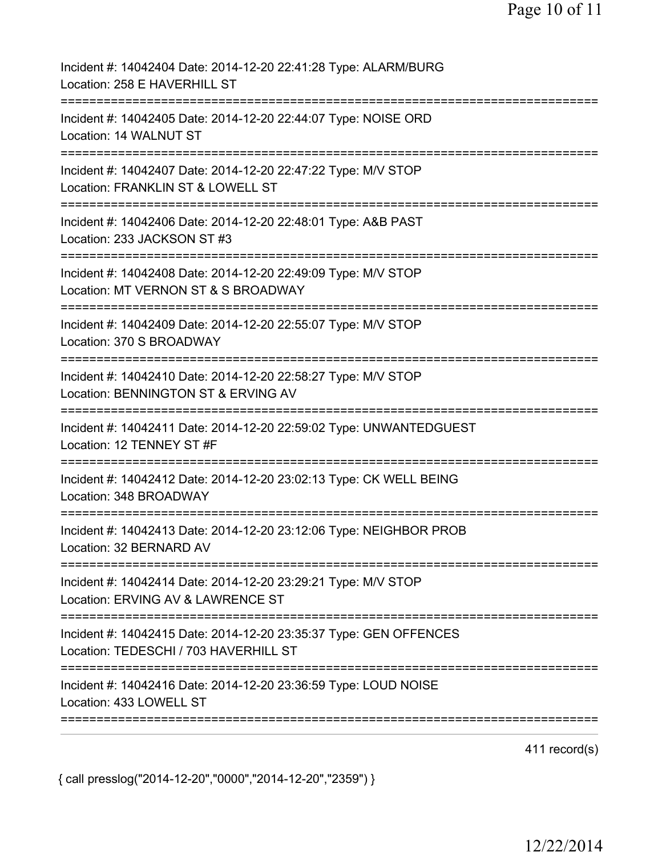| Incident #: 14042404 Date: 2014-12-20 22:41:28 Type: ALARM/BURG<br>Location: 258 E HAVERHILL ST                                             |
|---------------------------------------------------------------------------------------------------------------------------------------------|
| Incident #: 14042405 Date: 2014-12-20 22:44:07 Type: NOISE ORD<br>Location: 14 WALNUT ST                                                    |
| Incident #: 14042407 Date: 2014-12-20 22:47:22 Type: M/V STOP<br>Location: FRANKLIN ST & LOWELL ST                                          |
| Incident #: 14042406 Date: 2014-12-20 22:48:01 Type: A&B PAST<br>Location: 233 JACKSON ST #3                                                |
| Incident #: 14042408 Date: 2014-12-20 22:49:09 Type: M/V STOP<br>Location: MT VERNON ST & S BROADWAY<br>=========================           |
| Incident #: 14042409 Date: 2014-12-20 22:55:07 Type: M/V STOP<br>Location: 370 S BROADWAY<br>--------------                                 |
| Incident #: 14042410 Date: 2014-12-20 22:58:27 Type: M/V STOP<br>Location: BENNINGTON ST & ERVING AV                                        |
| Incident #: 14042411 Date: 2014-12-20 22:59:02 Type: UNWANTEDGUEST<br>Location: 12 TENNEY ST #F                                             |
| Incident #: 14042412 Date: 2014-12-20 23:02:13 Type: CK WELL BEING<br>Location: 348 BROADWAY                                                |
| Incident #: 14042413 Date: 2014-12-20 23:12:06 Type: NEIGHBOR PROB<br>Location: 32 BERNARD AV                                               |
| Incident #: 14042414 Date: 2014-12-20 23:29:21 Type: M/V STOP<br>Location: ERVING AV & LAWRENCE ST<br>:==================================== |
| Incident #: 14042415 Date: 2014-12-20 23:35:37 Type: GEN OFFENCES<br>Location: TEDESCHI / 703 HAVERHILL ST                                  |
| Incident #: 14042416 Date: 2014-12-20 23:36:59 Type: LOUD NOISE<br>Location: 433 LOWELL ST                                                  |

411 record(s)

{ call presslog("2014-12-20","0000","2014-12-20","2359") }